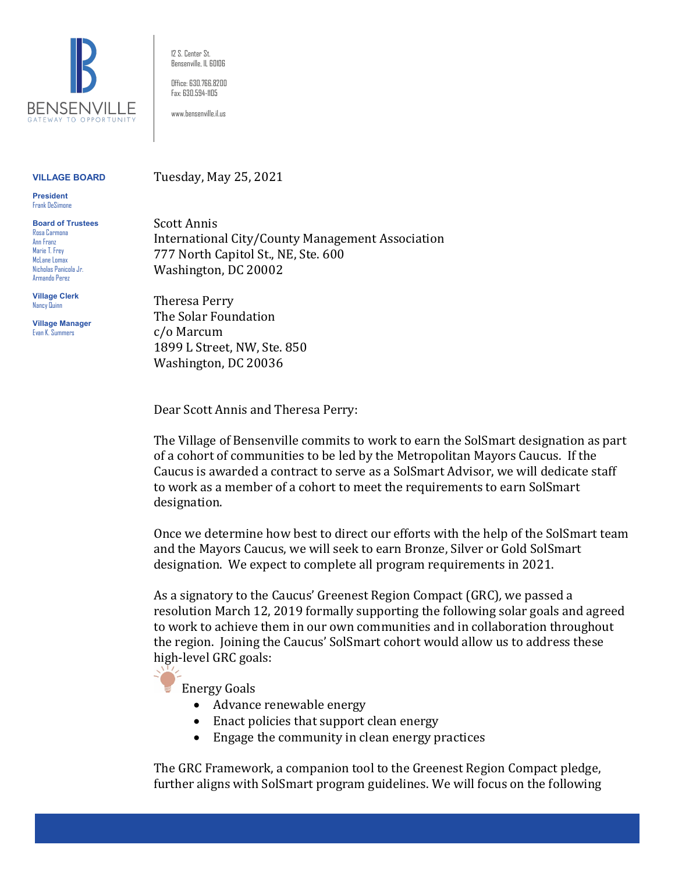

12 S. Center St. Bensenville, IL 60106

Office: 630.766.8200 Fax: 630.594-1105

www.bensenville.il.us

Tuesday, May 25, 2021

## **VILLAGE BOARD**

**President** Frank DeSimone

**Board of Trustees** Rosa Carmona Ann Franz Marie T. Frey McLane Lomax Nicholas Panicola Jr. Armando Perez

**Village Clerk** Nancy Quinn

**Village Manager** Evan K. Summers

Scott Annis International City/County Management Association 777 North Capitol St., NE, Ste. 600 Washington, DC 20002

Theresa Perry The Solar Foundation c/o Marcum 1899 L Street, NW, Ste. 850 Washington, DC 20036

Dear Scott Annis and Theresa Perry:

The Village of Bensenville commits to work to earn the SolSmart designation as part of a cohort of communities to be led by the Metropolitan Mayors Caucus. If the Caucus is awarded a contract to serve as a SolSmart Advisor, we will dedicate staff to work as a member of a cohort to meet the requirements to earn SolSmart designation.

Once we determine how best to direct our efforts with the help of the SolSmart team and the Mayors Caucus, we will seek to earn Bronze, Silver or Gold SolSmart designation. We expect to complete all program requirements in 2021.

As a signatory to the Caucus' Greenest Region Compact (GRC)*,* we passed a resolution March 12, 2019 formally supporting the following solar goals and agreed to work to achieve them in our own communities and in collaboration throughout the region. Joining the Caucus' SolSmart cohort would allow us to address these high-level GRC goals:



Energy Goals

- Advance renewable energy
- Enact policies that support clean energy
- Engage the community in clean energy practices

The GRC Framework, a companion tool to the Greenest Region Compact pledge, further aligns with SolSmart program guidelines. We will focus on the following